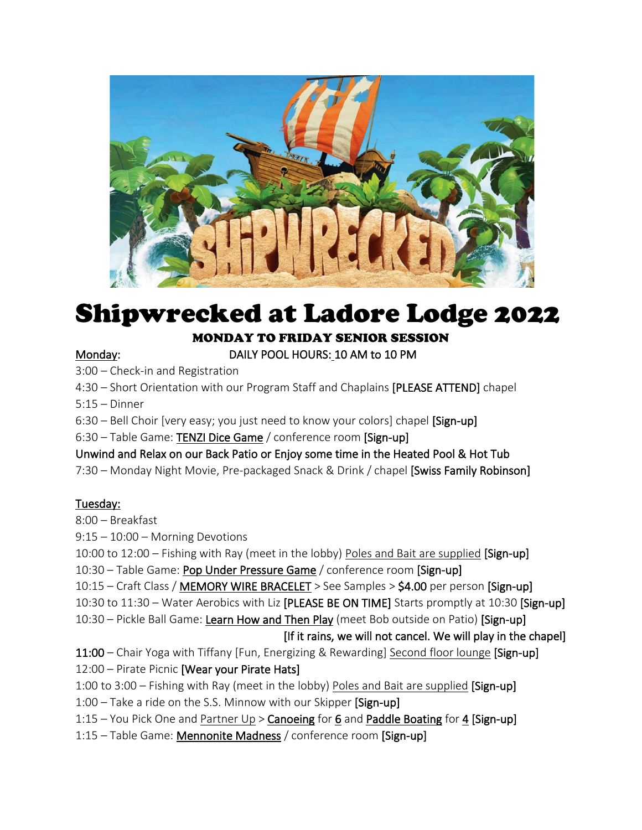

# Shipwrecked at Ladore Lodge 2022

#### MONDAY TO FRIDAY SENIOR SESSION

#### Monday: DAILY POOL HOURS: 10 AM to 10 PM

3:00 – Check-in and Registration

4:30 – Short Orientation with our Program Staff and Chaplains [PLEASE ATTEND] chapel

5:15 – Dinner

6:30 – Bell Choir [very easy; you just need to know your colors] chapel [Sign-up]

6:30 – Table Game: TENZI Dice Game / conference room [Sign-up]

Unwind and Relax on our Back Patio or Enjoy some time in the Heated Pool & Hot Tub

7:30 – Monday Night Movie, Pre-packaged Snack & Drink / chapel [Swiss Family Robinson]

#### Tuesday:

8:00 – Breakfast

9:15 – 10:00 – Morning Devotions

10:00 to 12:00 – Fishing with Ray (meet in the lobby) Poles and Bait are supplied [Sign-up]

- 10:30 Table Game: Pop Under Pressure Game / conference room [Sign-up]
- 10:15 Craft Class / MEMORY WIRE BRACELET > See Samples > \$4.00 per person [Sign-up]
- 10:30 to 11:30 Water Aerobics with Liz [PLEASE BE ON TIME] Starts promptly at 10:30 [Sign-up]
- 10:30 Pickle Ball Game: Learn How and Then Play (meet Bob outside on Patio) [Sign-up]

#### [If it rains, we will not cancel. We will play in the chapel]

- 11:00 Chair Yoga with Tiffany [Fun, Energizing & Rewarding] Second floor lounge [Sign-up]
- 12:00 Pirate Picnic [Wear your Pirate Hats]
- 1:00 to 3:00 Fishing with Ray (meet in the lobby) Poles and Bait are supplied [Sign-up]
- 1:00 Take a ride on the S.S. Minnow with our Skipper [Sign-up]
- 1:15 You Pick One and Partner Up > Canoeing for 6 and Paddle Boating for 4 [Sign-up]
- 1:15 Table Game: Mennonite Madness / conference room [Sign-up]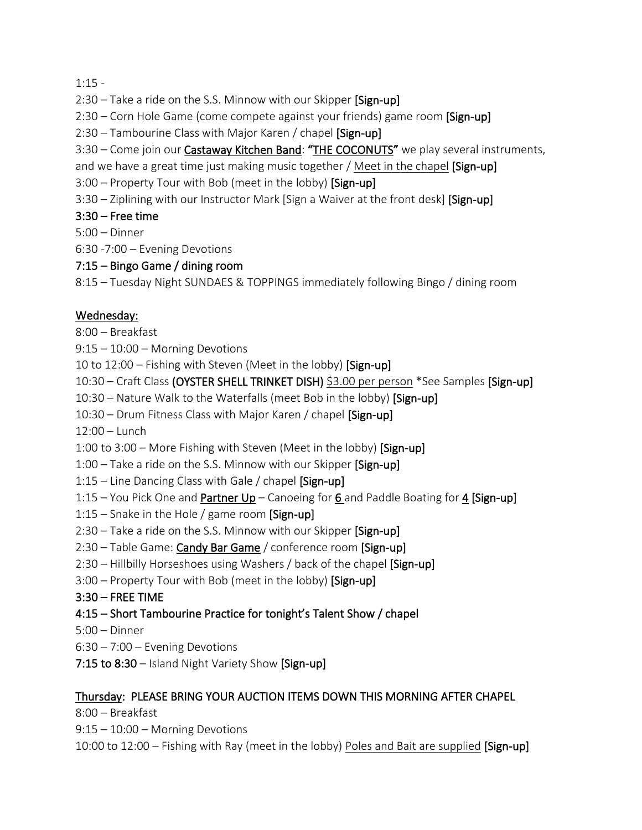$1:15 -$ 

- $2:30$  Take a ride on the S.S. Minnow with our Skipper  $\beta$ ign-up
- 2:30 Corn Hole Game (come compete against your friends) game room [Sign-up]
- 2:30 Tambourine Class with Major Karen / chapel [Sign-up]
- 3:30 Come join our **Castaway Kitchen Band: "THE COCONUTS"** we play several instruments,
- and we have a great time just making music together / Meet in the chapel [Sign-up]
- 3:00 Property Tour with Bob (meet in the lobby) [Sign-up]
- 3:30 Ziplining with our Instructor Mark [Sign a Waiver at the front desk] [Sign-up]

#### $3:30$  – Free time

- 5:00 Dinner
- 6:30 -7:00 Evening Devotions

#### 7:15 – Bingo Game / dining room

8:15 – Tuesday Night SUNDAES & TOPPINGS immediately following Bingo / dining room

#### Wednesday:

- 8:00 Breakfast
- 9:15 10:00 Morning Devotions
- 10 to 12:00 Fishing with Steven (Meet in the lobby) [Sign-up]
- 10:30 Craft Class (OYSTER SHELL TRINKET DISH) \$3.00 per person \*See Samples [Sign-up]
- 10:30 Nature Walk to the Waterfalls (meet Bob in the lobby) [Sign-up]
- 10:30 Drum Fitness Class with Major Karen / chapel [Sign-up]
- 12:00 Lunch
- 1:00 to 3:00 More Fishing with Steven (Meet in the lobby) [Sign-up]
- 1:00 Take a ride on the S.S. Minnow with our Skipper [Sign-up]
- 1:15 Line Dancing Class with Gale / chapel  $[Sign-up]$
- 1:15 You Pick One and **Partner Up** Canoeing for  $6$  and Paddle Boating for 4 [Sign-up]
- 1:15 Snake in the Hole / game room  $\lceil$ Sign-up $\rceil$
- 2:30 Take a ride on the S.S. Minnow with our Skipper [Sign-up]
- 2:30 Table Game: Candy Bar Game / conference room [Sign-up]
- 2:30 Hillbilly Horseshoes using Washers / back of the chapel [Sign-up]
- 3:00 Property Tour with Bob (meet in the lobby) [Sign-up]

#### 3:30 – FREE TIME

- 4:15 Short Tambourine Practice for tonight's Talent Show / chapel
- 5:00 Dinner
- 6:30 7:00 Evening Devotions
- 7:15 to 8:30 Island Night Variety Show [Sign-up]

#### Thursday: PLEASE BRING YOUR AUCTION ITEMS DOWN THIS MORNING AFTER CHAPEL

8:00 – Breakfast

- 9:15 10:00 Morning Devotions
- 10:00 to 12:00 Fishing with Ray (meet in the lobby) Poles and Bait are supplied [Sign-up]